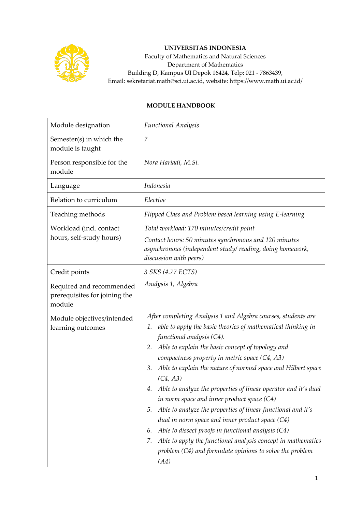

## **UNIVERSITAS INDONESIA**

Faculty of Mathematics and Natural Sciences Department of Mathematics Building D, Kampus UI Depok 16424, Telp: 021 - 7863439, Email: sekretariat.math@sci.ui.ac.id, website: https://www.math.ui.ac.id/

## **MODULE HANDBOOK**

| Module designation                                                  | <b>Functional Analysis</b>                                                                                                                                                                                                                                                                                                                                                                                                                                                                                                                                                                                                                                                                                                                                                                                       |  |  |
|---------------------------------------------------------------------|------------------------------------------------------------------------------------------------------------------------------------------------------------------------------------------------------------------------------------------------------------------------------------------------------------------------------------------------------------------------------------------------------------------------------------------------------------------------------------------------------------------------------------------------------------------------------------------------------------------------------------------------------------------------------------------------------------------------------------------------------------------------------------------------------------------|--|--|
| Semester(s) in which the<br>module is taught                        | 7                                                                                                                                                                                                                                                                                                                                                                                                                                                                                                                                                                                                                                                                                                                                                                                                                |  |  |
| Person responsible for the<br>module                                | Nora Hariadi, M.Si.                                                                                                                                                                                                                                                                                                                                                                                                                                                                                                                                                                                                                                                                                                                                                                                              |  |  |
| Language                                                            | Indonesia                                                                                                                                                                                                                                                                                                                                                                                                                                                                                                                                                                                                                                                                                                                                                                                                        |  |  |
| Relation to curriculum                                              | Elective                                                                                                                                                                                                                                                                                                                                                                                                                                                                                                                                                                                                                                                                                                                                                                                                         |  |  |
| Teaching methods                                                    | Flipped Class and Problem based learning using E-learning                                                                                                                                                                                                                                                                                                                                                                                                                                                                                                                                                                                                                                                                                                                                                        |  |  |
| Workload (incl. contact<br>hours, self-study hours)                 | Total workload: 170 minutes/credit point<br>Contact hours: 50 minutes synchronous and 120 minutes<br>asynchronous (independent study/reading, doing homework,<br>discussion with peers)                                                                                                                                                                                                                                                                                                                                                                                                                                                                                                                                                                                                                          |  |  |
| Credit points                                                       | 3 SKS (4.77 ECTS)                                                                                                                                                                                                                                                                                                                                                                                                                                                                                                                                                                                                                                                                                                                                                                                                |  |  |
| Required and recommended<br>prerequisites for joining the<br>module | Analysis 1, Algebra                                                                                                                                                                                                                                                                                                                                                                                                                                                                                                                                                                                                                                                                                                                                                                                              |  |  |
| Module objectives/intended<br>learning outcomes                     | After completing Analysis 1 and Algebra courses, students are<br>able to apply the basic theories of mathematical thinking in<br>1.<br>functional analysis (C4).<br>Able to explain the basic concept of topology and<br>2.<br>compactness property in metric space (C4, A3)<br>Able to explain the nature of normed space and Hilbert space<br>3.<br>(C4, A3)<br>Able to analyze the properties of linear operator and it's dual<br>in norm space and inner product space (C4)<br>Able to analyze the properties of linear functional and it's<br>5.<br>dual in norm space and inner product space $(C4)$<br>Able to dissect proofs in functional analysis (C4)<br>6.<br>Able to apply the functional analysis concept in mathematics<br>7.<br>problem (C4) and formulate opinions to solve the problem<br>(A4) |  |  |